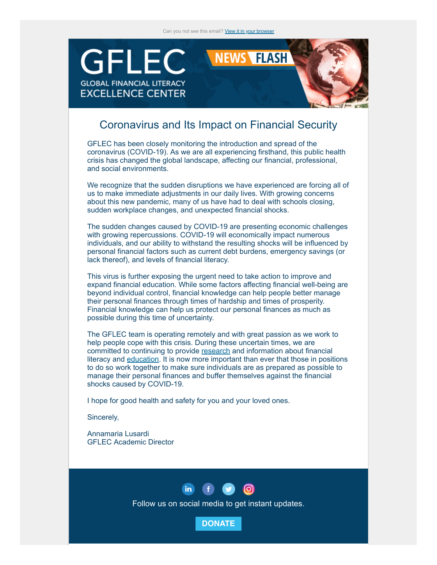

## Coronavirus and Its Impact on Financial Security

GFLEC has been closely monitoring the introduction and spread of the coronavirus (COVID-19). As we are all experiencing firsthand, this public health crisis has changed the global landscape, affecting our financial, professional, and social environments.

We recognize that the sudden disruptions we have experienced are forcing all of us to make immediate adjustments in our daily lives. With growing concerns about this new pandemic, many of us have had to deal with schools closing, sudden workplace changes, and unexpected financial shocks.

The sudden changes caused by COVID-19 are presenting economic challenges with growing repercussions. COVID-19 will economically impact numerous individuals, and our ability to withstand the resulting shocks will be influenced by personal financial factors such as current debt burdens, emergency savings (or lack thereof), and levels of financial literacy.

This virus is further exposing the urgent need to take action to improve and expand financial education. While some factors affecting financial well-being are beyond individual control, financial knowledge can help people better manage their personal finances through times of hardship and times of prosperity. Financial knowledge can help us protect our personal finances as much as possible during this time of uncertainty.

The GFLEC team is operating remotely and with great passion as we work to help people cope with this crisis. During these uncertain times, we are committed to continuing to provide [research](https://cts.vresp.com/c/?GlobalFinancialLiter/df2f9eb77b/f3b47a675c/8869cc4b30/x83489) and information about financial literacy and [education.](https://cts.vresp.com/c/?GlobalFinancialLiter/df2f9eb77b/f3b47a675c/fb4e8bbafb) It is now more important than ever that those in positions to do so work together to make sure individuals are as prepared as possible to manage their personal finances and buffer themselves against the financial shocks caused by COVID-19.

I hope for good health and safety for you and your loved ones.

Sincerely,

Annamaria Lusardi GFLEC Academic Director



Follow us on social media to get instant updates.

**[DONATE](https://cts.vresp.com/c/?GlobalFinancialLiter/df2f9eb77b/f3b47a675c/7ea1a17b26/df_id=1382&1382.donation=form1&set.SingleDesignee=1141&utm_source=gwsbgflec&utm_medium=website&utm_content=button&utm_campaign=linklocation-gflec)**